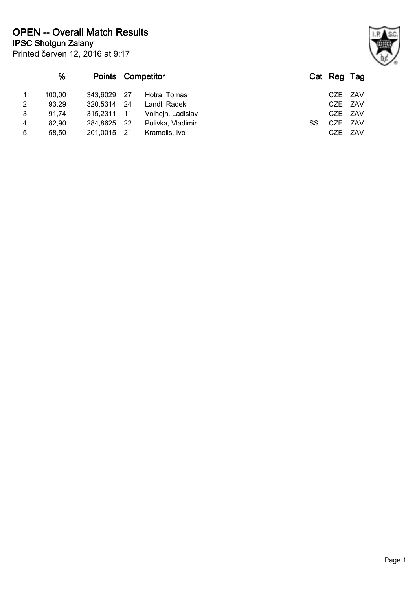|                | %      |             | <b>Points Competitor</b> |                   |     | Cat Reg Tag |  |
|----------------|--------|-------------|--------------------------|-------------------|-----|-------------|--|
|                | 100.00 | 343.6029 27 |                          | Hotra, Tomas      |     | CZE ZAV     |  |
| 2              | 93,29  | 320,5314 24 |                          | Landl, Radek      |     | CZE ZAV     |  |
| 3              | 91,74  | 315,2311 11 |                          | Volhejn, Ladislav |     | CZE ZAV     |  |
| $\overline{4}$ | 82.90  | 284,8625 22 |                          | Polivka, Vladimir | SS. | CZE ZAV     |  |
| 5              | 58,50  | 201,0015 21 |                          | Kramolis, Ivo     |     | CZE ZAV     |  |

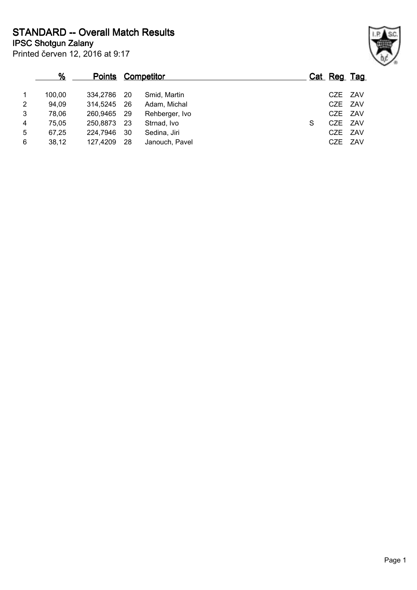Printed červen 12, 2016 at 9:17 **IPSC Shotgun Zalany STANDARD -- Overall Match Results**

|                | %      |             |     | <b>Points Competitor</b> |  |   | Cat Reg Tag |  |
|----------------|--------|-------------|-----|--------------------------|--|---|-------------|--|
| $\overline{1}$ | 100.00 | 334.2786    | -20 | Smid, Martin             |  |   | CZE ZAV     |  |
| $\overline{2}$ | 94,09  | 314,5245    | -26 | Adam, Michal             |  |   | CZE ZAV     |  |
| 3              | 78,06  | 260,9465 29 |     | Rehberger, Ivo           |  |   | CZE ZAV     |  |
| $\overline{4}$ | 75,05  | 250,8873    | -23 | Strnad, Ivo              |  | S | CZE ZAV     |  |
| 5              | 67,25  | 224.7946    | 30  | Sedina, Jiri             |  |   | CZE ZAV     |  |
| 6              | 38,12  | 127,4209    | 28  | Janouch, Pavel           |  |   | CZE ZAV     |  |